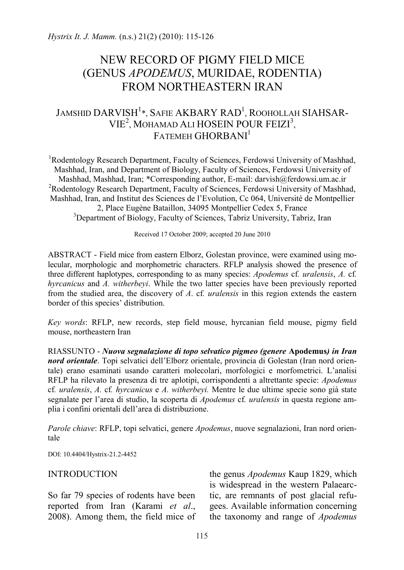# NEW RECORD OF PIGMY FIELD MICE (GENUS *APODEMUS*, MURIDAE, RODENTIA) FROM NORTHEASTERN IRAN

## JAMSHID  $\mathsf{DARYISH}^{1*}$ , Safie AKBARY RAD $^1$ , Roohollah SIAHSAR-VIE<sup>2</sup>, MOHAMAD ALI HOSEIN POUR FEIZI<sup>3</sup>, FATEMEH GHORBANI<sup>1</sup>

<sup>1</sup>Rodentology Research Department, Faculty of Sciences, Ferdowsi University of Mashhad, Mashhad, Iran, and Department of Biology, Faculty of Sciences, Ferdowsi University of Mashhad, Mashhad, Iran; \*Corresponding author, E-mail: darvish@ferdowsi.um.ac.ir <sup>2</sup> <sup>2</sup>Rodentology Research Department, Faculty of Sciences, Ferdowsi University of Mashhad, Mashhad, Iran, and Institut des Sciences de l'Evolution, Cc 064, Université de Montpellier 2, Place Eugène Bataillon, 34095 Montpellier Cedex 5, France <sup>3</sup>Department of Biology, Faculty of Sciences, Tabriz University, Tabriz, Iran

Received 17 October 2009; accepted 20 June 2010

ABSTRACT - Field mice from eastern Elborz, Golestan province, were examined using molecular, morphologic and morphometric characters. RFLP analysis showed the presence of three different haplotypes, corresponding to as many species: *Apodemus* cf*. uralensis*, *A.* cf*. hyrcanicus* and *A. witherbeyi*. While the two latter species have been previously reported from the studied area, the discovery of *A*. cf*. uralensis* in this region extends the eastern border of this species' distribution.

*Key words*: RFLP, new records, step field mouse, hyrcanian field mouse, pigmy field mouse, northeastern Iran

RIASSUNTO - *Nuova segnalazione di topo selvatico pigmeo (genere* **Apodemus***) in Iran nord orientale*. Topi selvatici dell'Elborz orientale, provincia di Golestan (Iran nord orientale) erano esaminati usando caratteri molecolari, morfologici e morfometrici. L'analisi RFLP ha rilevato la presenza di tre aplotipi, corrispondenti a altrettante specie: *Apodemus* cf*. uralensis*, *A.* cf*. hyrcanicus* e *A. witherbeyi.* Mentre le due ultime specie sono già state segnalate per l'area di studio, la scoperta di *Apodemus* cf*. uralensis* in questa regione amplia i confini orientali dell'area di distribuzione.

*Parole chiave*: RFLP, topi selvatici, genere *Apodemus*, nuove segnalazioni, Iran nord orientale

DOI: 10.4404/Hystrix-21.2-4452

#### INTRODUCTION

So far 79 species of rodents have been reported from Iran (Karami *et al*., 2008). Among them, the field mice of the genus *Apodemus* Kaup 1829, which is widespread in the western Palaearctic, are remnants of post glacial refugees. Available information concerning the taxonomy and range of *Apodemus*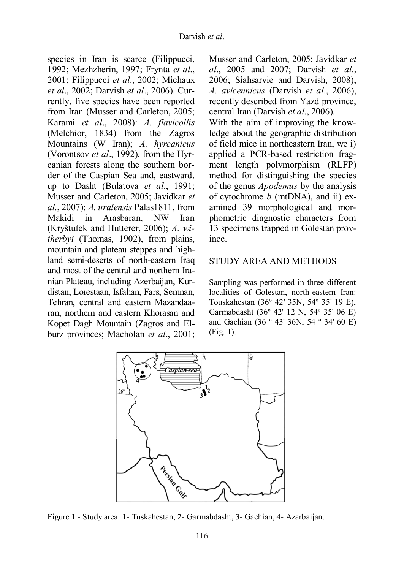species in Iran is scarce (Filippucci, 1992; Mezhzherin, 1997; Frynta *et al*., 2001; Filippucci *et al*., 2002; Michaux *et al*., 2002; Darvish *et al*., 2006). Currently, five species have been reported from Iran (Musser and Carleton, 2005; Karami *et al*., 2008): *A. flavicollis* (Melchior, 1834) from the Zagros Mountains (W Iran); *A. hyrcanicus* (Vorontsov *et al*., 1992), from the Hyrcanian forests along the southern border of the Caspian Sea and, eastward, up to Dasht (Bulatova *et al*., 1991; Musser and Carleton, 2005; Javidkar *et al*., 2007); *A. uralensis* Palas1811, from Makidi in Arasbaran, NW Iran (Kryštufek and Hutterer, 2006); *A. witherbyi* (Thomas, 1902), from plains, mountain and plateau steppes and highland semi-deserts of north-eastern Iraq and most of the central and northern Iranian Plateau, including Azerbaijan, Kurdistan, Lorestaan, Isfahan, Fars, Semnan, Tehran, central and eastern Mazandaaran, northern and eastern Khorasan and Kopet Dagh Mountain (Zagros and Elburz provinces; Macholan *et al*., 2001;

Musser and Carleton, 2005; Javidkar *et al*., 2005 and 2007; Darvish *et al*., 2006; Siahsarvie and Darvish, 2008); *A. avicennicus* (Darvish *et al*., 2006), recently described from Yazd province, central Iran (Darvish *et al*., 2006).

With the aim of improving the knowledge about the geographic distribution of field mice in northeastern Iran, we i) applied a PCR-based restriction fragment length polymorphism (RLFP) method for distinguishing the species of the genus *Apodemus* by the analysis of cytochrome *b* (mtDNA), and ii) examined 39 morphological and morphometric diagnostic characters from 13 specimens trapped in Golestan province.

## STUDY AREA AND METHODS

Sampling was performed in three different localities of Golestan, north-eastern Iran: Touskahestan (36º 42' 35N, 54º 35' 19 E), Garmabdasht (36º 42' 12 N, 54º 35' 06 E) and Gachian (36 º 43' 36N, 54 º 34' 60 E) (Fig. 1).



Figure 1 - Study area: 1- Tuskahestan, 2- Garmabdasht, 3- Gachian, 4- Azarbaijan.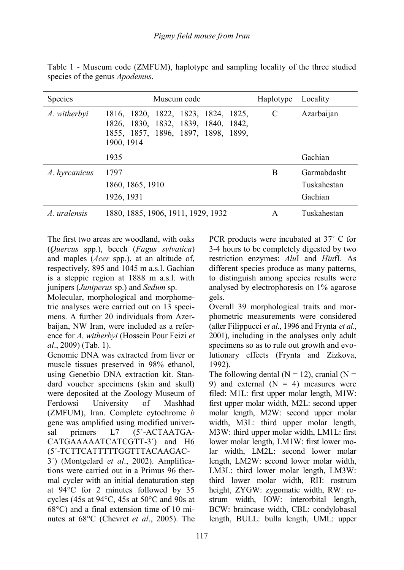| Species       | Museum code                                                                                                                     | Haplotype | Locality    |  |
|---------------|---------------------------------------------------------------------------------------------------------------------------------|-----------|-------------|--|
| A. witherbyi  | 1816, 1820, 1822, 1823, 1824, 1825,<br>1826, 1830, 1832, 1839, 1840, 1842,<br>1855, 1857, 1896, 1897, 1898, 1899,<br>1900, 1914 | C         | Azarbaijan  |  |
|               | 1935                                                                                                                            |           | Gachian     |  |
| A. hyrcanicus | 1797                                                                                                                            | B         | Garmabdasht |  |
|               | 1860, 1865, 1910                                                                                                                |           | Tuskahestan |  |
|               | 1926, 1931                                                                                                                      |           | Gachian     |  |
| A. uralensis  | 1880, 1885, 1906, 1911, 1929, 1932                                                                                              | A         | Tuskahestan |  |

Table 1 - Museum code (ZMFUM), haplotype and sampling locality of the three studied species of the genus *Apodemus*.

The first two areas are woodland, with oaks (*Quercus* spp.), beech (*Fagus sylvatica*) and maples (*Acer* spp.), at an altitude of, respectively, 895 and 1045 m a.s.l. Gachian is a steppic region at 1888 m a.s.l. with junipers (*Juniperus* sp.) and *Sedum* sp.

Molecular, morphological and morphometric analyses were carried out on 13 specimens. A further 20 individuals from Azerbaijan, NW Iran, were included as a reference for *A. witherbyi* (Hossein Pour Feizi *et al*., 2009) (Tab. 1).

Genomic DNA was extracted from liver or muscle tissues preserved in 98% ethanol, using Genetbio DNA extraction kit. Standard voucher specimens (skin and skull) were deposited at the Zoology Museum of Ferdowsi University of Mashhad (ZMFUM), Iran. Complete cytochrome *b* gene was amplified using modified universal primers L7 (5'-ACTAATGA-CATGAAAAATCATCGTT-3΄) and H6 (5΄-TCTTCATTTTTGGTTTACAAGAC-

3΄) (Montgelard *et al*., 2002). Amplifications were carried out in a Primus 96 thermal cycler with an initial denaturation step at 94°C for 2 minutes followed by 35 cycles (45s at 94°C, 45s at 50°C and 90s at 68°C) and a final extension time of 10 minutes at 68°C (Chevret *et al*., 2005). The PCR products were incubated at 37˚ C for 3-4 hours to be completely digested by two restriction enzymes: *Alu*I and *Hin*fI. As different species produce as many patterns, to distinguish among species results were analysed by electrophoresis on 1% agarose gels.

Overall 39 morphological traits and morphometric measurements were considered (after Filippucci *et al*., 1996 and Frynta *et al*., 2001), including in the analyses only adult specimens so as to rule out growth and evolutionary effects (Frynta and Zizkova, 1992).

The following dental  $(N = 12)$ , cranial  $(N = 12)$ 9) and external  $(N = 4)$  measures were filed: M1L: first upper molar length, M1W: first upper molar width, M2L: second upper molar length, M2W: second upper molar width, M3L: third upper molar length, M3W: third upper molar width, LM1L: first lower molar length, LM1W: first lower molar width, LM2L: second lower molar length, LM2W: second lower molar width, LM3L: third lower molar length, LM3W: third lower molar width, RH: rostrum height, ZYGW: zygomatic width, RW: rostrum width, IOW: interorbital length, BCW: braincase width, CBL: condylobasal length, BULL: bulla length, UML: upper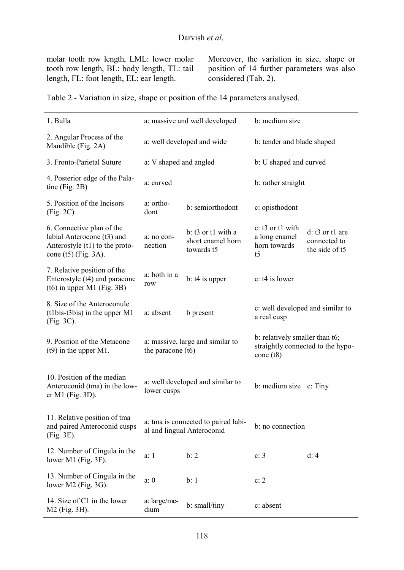molar tooth row length, LML: lower molar tooth row length, BL: body length, TL: tail length, FL: foot length, EL: ear length.

Moreover, the variation in size, shape or position of 14 further parameters was also considered (Tab. 2).

Table 2 - Variation in size, shape or position of the 14 parameters analysed.

| 1. Bulla                                                                                                          |                                                                   | a: massive and well developed                                     | b: medium size                                                                  |                                                       |  |
|-------------------------------------------------------------------------------------------------------------------|-------------------------------------------------------------------|-------------------------------------------------------------------|---------------------------------------------------------------------------------|-------------------------------------------------------|--|
| 2. Angular Process of the<br>Mandible (Fig. 2A)                                                                   |                                                                   | a: well developed and wide                                        | b: tender and blade shaped                                                      |                                                       |  |
| 3. Fronto-Parietal Suture                                                                                         | a: V shaped and angled                                            |                                                                   | b: U shaped and curved                                                          |                                                       |  |
| 4. Posterior edge of the Pala-<br>tine (Fig. $2B$ )                                                               | a: curved                                                         |                                                                   | b: rather straight                                                              |                                                       |  |
| 5. Position of the Incisors<br>(Fig. 2C)                                                                          | a: ortho-<br>b: semiorthodont<br>dont                             |                                                                   | c: opisthodont                                                                  |                                                       |  |
| 6. Connective plan of the<br>labial Anterocone (t3) and<br>Anterostyle (t1) to the proto-<br>cone (t5) (Fig. 3A). | a: no con-<br>nection                                             | b: t3 or t1 with a<br>short enamel horn<br>towards t <sub>5</sub> | c: t3 or t1 with<br>a long enamel<br>horn towards<br>t <sub>5</sub>             | d: $t3$ or $t1$ are<br>connected to<br>the side of t5 |  |
| 7. Relative position of the<br>Enterostyle (t4) and paracone<br>$(t6)$ in upper M1 (Fig. 3B)                      | a: both in a<br>row                                               | $b: t4$ is upper                                                  | c: t4 is lower                                                                  |                                                       |  |
| 8. Size of the Anteroconule<br>(t1bis-t3bis) in the upper M1<br>(Fig. 3C).                                        | a: absent                                                         | b present                                                         | c: well developed and similar to<br>a real cusp                                 |                                                       |  |
| 9. Position of the Metacone<br>$(t9)$ in the upper M1.                                                            | a: massive, large and similar to<br>the paracone (t6)             |                                                                   | b: relatively smaller than t6;<br>straightly connected to the hypo-<br>cone(t8) |                                                       |  |
| 10. Position of the median<br>Anteroconid (tma) in the low-<br>er M1 (Fig. 3D).                                   | a: well developed and similar to<br>lower cusps                   |                                                                   | b: medium size c: Tiny                                                          |                                                       |  |
| 11. Relative position of tma<br>and paired Anteroconid cusps<br>(Fig. 3E).                                        | a: tma is connected to paired labi-<br>al and lingual Anteroconid |                                                                   | b: no connection                                                                |                                                       |  |
| 12. Number of Cingula in the<br>lower M1 (Fig. 3F).                                                               | a: 1                                                              | h: 2                                                              | c: 3                                                                            | d: 4                                                  |  |
| 13. Number of Cingula in the<br>lower M2 (Fig. 3G).                                                               | a: 0                                                              | b: 1                                                              | c: 2                                                                            |                                                       |  |
| 14. Size of C1 in the lower<br>M2 (Fig. 3H).                                                                      | a: large/me-<br>dium                                              | b: small/tiny                                                     | c: absent                                                                       |                                                       |  |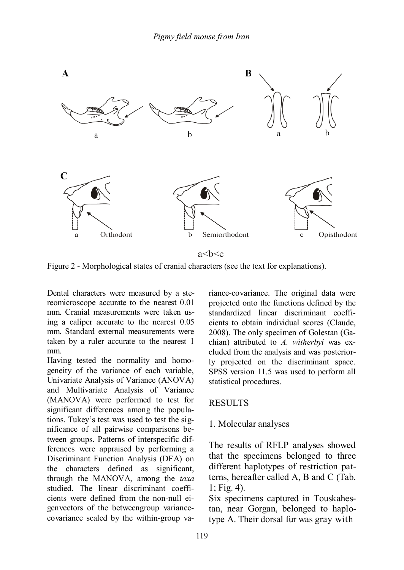

Figure 2 - Morphological states of cranial characters (see the text for explanations).

Dental characters were measured by a stereomicroscope accurate to the nearest 0.01 mm. Cranial measurements were taken using a caliper accurate to the nearest 0.05 mm. Standard external measurements were taken by a ruler accurate to the nearest 1 mm.

Having tested the normality and homogeneity of the variance of each variable, Univariate Analysis of Variance (ANOVA) and Multivariate Analysis of Variance (MANOVA) were performed to test for significant differences among the populations. Tukey's test was used to test the significance of all pairwise comparisons between groups. Patterns of interspecific differences were appraised by performing a Discriminant Function Analysis (DFA) on the characters defined as significant, through the MANOVA, among the *taxa*  studied. The linear discriminant coefficients were defined from the non-null eigenvectors of the betweengroup variancecovariance scaled by the within-group variance-covariance. The original data were projected onto the functions defined by the standardized linear discriminant coefficients to obtain individual scores (Claude, 2008). The only specimen of Golestan (Gachian) attributed to *A. witherbyi* was excluded from the analysis and was posteriorly projected on the discriminant space. SPSS version 11.5 was used to perform all statistical procedures.

#### **RESULTS**

#### 1. Molecular analyses

The results of RFLP analyses showed that the specimens belonged to three different haplotypes of restriction patterns, hereafter called A, B and C (Tab. 1; Fig. 4).

Six specimens captured in Touskahestan, near Gorgan, belonged to haplotype A. Their dorsal fur was gray with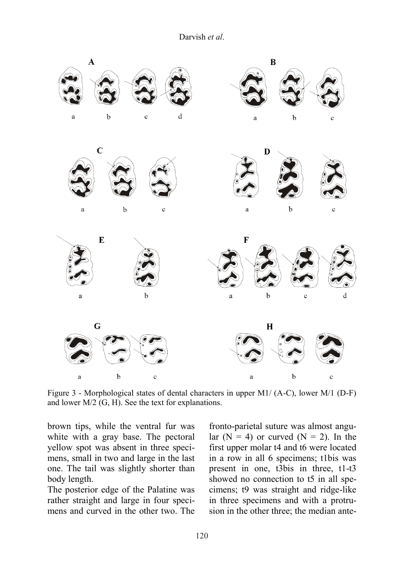Darvish *et al*.



Figure 3 - Morphological states of dental characters in upper M1/ (A-C), lower M/1 (D-F) and lower M/2 (G, H). See the text for explanations.

brown tips, while the ventral fur was white with a gray base. The pectoral yellow spot was absent in three specimens, small in two and large in the last one. The tail was slightly shorter than body length.

The posterior edge of the Palatine was rather straight and large in four specimens and curved in the other two. The

fronto-parietal suture was almost angular  $(N = 4)$  or curved  $(N = 2)$ . In the first upper molar t4 and t6 were located in a row in all 6 specimens; t1bis was present in one, t3bis in three, t1-t3 showed no connection to t5 in all specimens; t9 was straight and ridge-like in three specimens and with a protrusion in the other three; the median ante-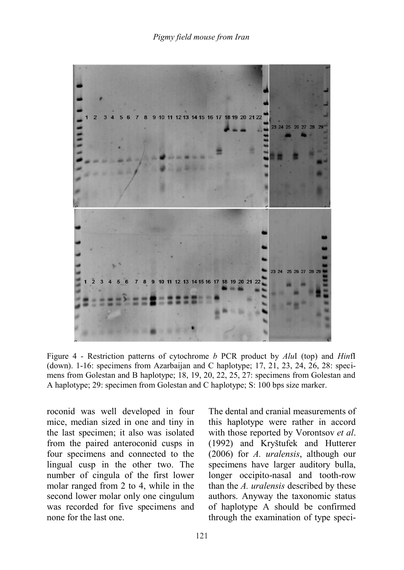

Figure 4 - Restriction patterns of cytochrome *b* PCR product by *Alu*I (top) and *Hin*fI (down). 1-16: specimens from Azarbaijan and C haplotype; 17, 21, 23, 24, 26, 28: specimens from Golestan and B haplotype; 18, 19, 20, 22, 25, 27: specimens from Golestan and A haplotype; 29: specimen from Golestan and C haplotype; S: 100 bps size marker.

roconid was well developed in four mice, median sized in one and tiny in the last specimen; it also was isolated from the paired anteroconid cusps in four specimens and connected to the lingual cusp in the other two. The number of cingula of the first lower molar ranged from 2 to 4, while in the second lower molar only one cingulum was recorded for five specimens and none for the last one.

The dental and cranial measurements of this haplotype were rather in accord with those reported by Vorontsov *et al*. (1992) and Kryštufek and Hutterer (2006) for *A. uralensis*, although our specimens have larger auditory bulla, longer occipito-nasal and tooth-row than the *A. uralensis* described by these authors. Anyway the taxonomic status of haplotype A should be confirmed through the examination of type speci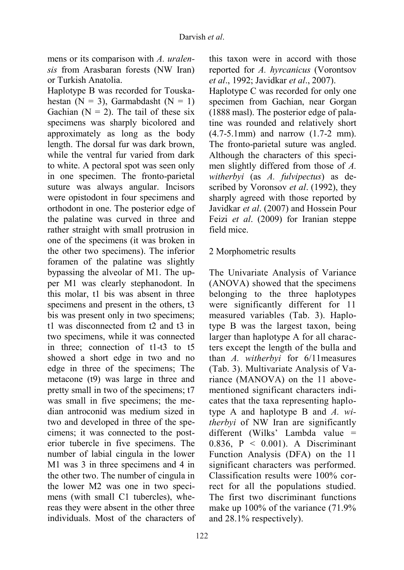mens or its comparison with *A. uralensis* from Arasbaran forests (NW Iran) or Turkish Anatolia.

Haplotype B was recorded for Touskahestan (N = 3), Garmabdasht (N = 1) Gachian  $(N = 2)$ . The tail of these six specimens was sharply bicolored and approximately as long as the body length. The dorsal fur was dark brown, while the ventral fur varied from dark to white. A pectoral spot was seen only in one specimen. The fronto-parietal suture was always angular. Incisors were opistodont in four specimens and orthodont in one. The posterior edge of the palatine was curved in three and rather straight with small protrusion in one of the specimens (it was broken in the other two specimens). The inferior foramen of the palatine was slightly bypassing the alveolar of M1. The upper M1 was clearly stephanodont. In this molar, t1 bis was absent in three specimens and present in the others, t3 bis was present only in two specimens; t1 was disconnected from t2 and t3 in two specimens, while it was connected in three; connection of t1-t3 to t5 showed a short edge in two and no edge in three of the specimens; The metacone (t9) was large in three and pretty small in two of the specimens; t7 was small in five specimens; the median antroconid was medium sized in two and developed in three of the specimens; it was connected to the posterior tubercle in five specimens. The number of labial cingula in the lower M1 was 3 in three specimens and 4 in the other two. The number of cingula in the lower M2 was one in two specimens (with small C1 tubercles), whereas they were absent in the other three individuals. Most of the characters of this taxon were in accord with those reported for *A. hyrcanicus* (Vorontsov *et al*., 1992; Javidkar *et al*., 2007).

Haplotype C was recorded for only one specimen from Gachian, near Gorgan (1888 masl). The posterior edge of palatine was rounded and relatively short (4.7-5.1mm) and narrow (1.7-2 mm). The fronto-parietal suture was angled. Although the characters of this specimen slightly differed from those of *A. witherbyi* (as *A. fulvipectus*) as described by Voronsov *et al*. (1992), they sharply agreed with those reported by Javidkar *et al*. (2007) and Hossein Pour Feizi *et al*. (2009) for Iranian steppe field mice.

## 2 Morphometric results

The Univariate Analysis of Variance (ANOVA) showed that the specimens belonging to the three haplotypes were significantly different for 11 measured variables (Tab. 3). Haplotype B was the largest taxon, being larger than haplotype A for all characters except the length of the bulla and than *A. witherbyi* for 6/11measures (Tab. 3). Multivariate Analysis of Variance (MANOVA) on the 11 abovementioned significant characters indicates that the taxa representing haplotype A and haplotype B and *A. witherbyi* of NW Iran are significantly different (Wilks' Lambda value = 0.836,  $P \le 0.001$ ). A Discriminant Function Analysis (DFA) on the 11 significant characters was performed. Classification results were 100% correct for all the populations studied. The first two discriminant functions make up 100% of the variance (71.9% and 28.1% respectively).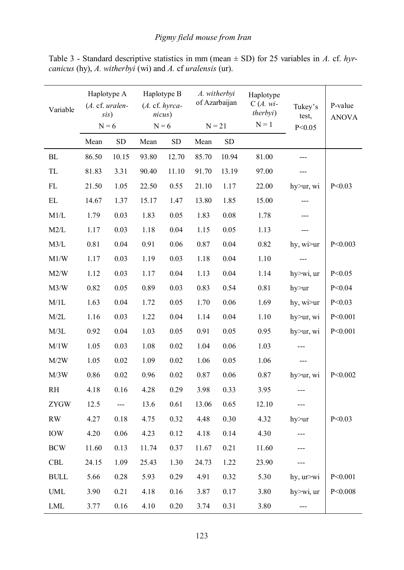| Variable    | Haplotype A<br>(A. cf. uralen-<br>sis)<br>$N = 6$ |                     | Haplotype B<br>(A. cf. hyrca-<br>nicus)<br>$N = 6$ |            | A. witherbyi<br>of Azarbaijan<br>$N = 21$ |           | Haplotype<br>$C(A. wi-$<br>therbyi)<br>$N = 1$ | Tukey's<br>test, | P-value<br><b>ANOVA</b> |
|-------------|---------------------------------------------------|---------------------|----------------------------------------------------|------------|-------------------------------------------|-----------|------------------------------------------------|------------------|-------------------------|
|             |                                                   |                     |                                                    |            |                                           |           |                                                | P < 0.05         |                         |
|             | Mean                                              | <b>SD</b>           | Mean                                               | ${\rm SD}$ | Mean                                      | <b>SD</b> |                                                |                  |                         |
| ${\rm BL}$  | 86.50                                             | 10.15               | 93.80                                              | 12.70      | 85.70                                     | 10.94     | 81.00                                          |                  |                         |
| TL          | 81.83                                             | 3.31                | 90.40                                              | 11.10      | 91.70                                     | 13.19     | 97.00                                          | ---              |                         |
| $\rm FL$    | 21.50                                             | 1.05                | 22.50                                              | 0.55       | 21.10                                     | 1.17      | 22.00                                          | hy>ur, wi        | P < 0.03                |
| EL          | 14.67                                             | 1.37                | 15.17                                              | 1.47       | 13.80                                     | 1.85      | 15.00                                          | ---              |                         |
| M1/L        | 1.79                                              | 0.03                | 1.83                                               | 0.05       | 1.83                                      | 0.08      | 1.78                                           | ---              |                         |
| M2/L        | 1.17                                              | 0.03                | 1.18                                               | 0.04       | 1.15                                      | 0.05      | 1.13                                           | ---              |                         |
| M3/L        | 0.81                                              | 0.04                | 0.91                                               | 0.06       | 0.87                                      | 0.04      | 0.82                                           | hy, wi>ur        | P < 0.003               |
| M1/W        | 1.17                                              | 0.03                | 1.19                                               | 0.03       | 1.18                                      | 0.04      | 1.10                                           | ---              |                         |
| M2/W        | 1.12                                              | 0.03                | 1.17                                               | 0.04       | 1.13                                      | 0.04      | 1.14                                           | hy>wi, ur        | P < 0.05                |
| M3/W        | 0.82                                              | 0.05                | 0.89                                               | 0.03       | 0.83                                      | 0.54      | 0.81                                           | hy>ur            | P < 0.04                |
| M/1L        | 1.63                                              | 0.04                | 1.72                                               | 0.05       | 1.70                                      | 0.06      | 1.69                                           | hy, wi>ur        | P < 0.03                |
| M/2L        | 1.16                                              | 0.03                | 1.22                                               | $0.04\,$   | 1.14                                      | 0.04      | 1.10                                           | hy>ur, wi        | P < 0.001               |
| M/3L        | 0.92                                              | 0.04                | 1.03                                               | 0.05       | 0.91                                      | 0.05      | 0.95                                           | hy>ur, wi        | P < 0.001               |
| M/1W        | 1.05                                              | 0.03                | 1.08                                               | 0.02       | 1.04                                      | 0.06      | 1.03                                           | ---              |                         |
| M/2W        | 1.05                                              | 0.02                | 1.09                                               | 0.02       | 1.06                                      | 0.05      | 1.06                                           | ---              |                         |
| M/3W        | 0.86                                              | 0.02                | 0.96                                               | $0.02\,$   | 0.87                                      | 0.06      | 0.87                                           | hy>ur, wi        | P < 0.002               |
| RH          | 4.18                                              | 0.16                | 4.28                                               | 0.29       | 3.98                                      | 0.33      | 3.95                                           | ---              |                         |
| <b>ZYGW</b> | 12.5                                              | $\qquad \qquad - -$ | 13.6                                               | 0.61       | 13.06                                     | 0.65      | 12.10                                          | ---              |                         |
| <b>RW</b>   | 4.27                                              | 0.18                | 4.75                                               | 0.32       | 4.48                                      | 0.30      | 4.32                                           | hy>ur            | P < 0.03                |
| <b>IOW</b>  | 4.20                                              | 0.06                | 4.23                                               | 0.12       | 4.18                                      | 0.14      | 4.30                                           | $---$            |                         |
| <b>BCW</b>  | 11.60                                             | 0.13                | 11.74                                              | 0.37       | 11.67                                     | 0.21      | 11.60                                          | ---              |                         |
| CBL         | 24.15                                             | 1.09                | 25.43                                              | 1.30       | 24.73                                     | 1.22      | 23.90                                          | ---              |                         |
| <b>BULL</b> | 5.66                                              | 0.28                | 5.93                                               | 0.29       | 4.91                                      | 0.32      | 5.30                                           | hy, ur>wi        | P < 0.001               |
| <b>UML</b>  | 3.90                                              | 0.21                | 4.18                                               | 0.16       | 3.87                                      | 0.17      | 3.80                                           | hy>wi, ur        | P < 0.008               |
| LML         | 3.77                                              | 0.16                | 4.10                                               | 0.20       | 3.74                                      | 0.31      | 3.80                                           | ---              |                         |

Table 3 - Standard descriptive statistics in mm (mean ± SD) for 25 variables in *A.* cf. *hyrcanicus* (hy), *A. witherbyi* (wi) and *A.* cf *uralensis* (ur).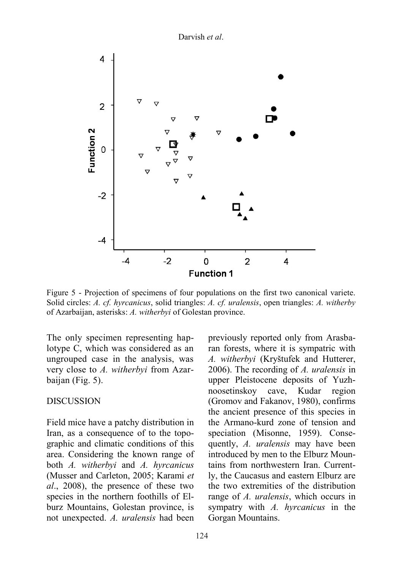Darvish *et al*.



Figure 5 - Projection of specimens of four populations on the first two canonical variete. Solid circles: *A. cf. hyrcanicus*, solid triangles: *A. cf. uralensis*, open triangles: *A. witherby* of Azarbaijan, asterisks: *A. witherbyi* of Golestan province.

The only specimen representing haplotype C, which was considered as an ungrouped case in the analysis, was very close to *A. witherbyi* from Azarbaijan (Fig. 5).

#### DISCUSSION

Field mice have a patchy distribution in Iran, as a consequence of to the topographic and climatic conditions of this area. Considering the known range of both *A. witherbyi* and *A. hyrcanicus*  (Musser and Carleton, 2005; Karami *et al*., 2008), the presence of these two species in the northern foothills of Elburz Mountains, Golestan province, is not unexpected. *A. uralensis* had been

previously reported only from Arasbaran forests, where it is sympatric with *A. witherbyi* (Kryštufek and Hutterer, 2006). The recording of *A. uralensis* in upper Pleistocene deposits of Yuzhnoosetinskoy cave, Kudar region (Gromov and Fakanov, 1980), confirms the ancient presence of this species in the Armano-kurd zone of tension and speciation (Misonne, 1959). Consequently, *A. uralensis* may have been introduced by men to the Elburz Mountains from northwestern Iran. Currently, the Caucasus and eastern Elburz are the two extremities of the distribution range of *A. uralensis*, which occurs in sympatry with *A. hyrcanicus* in the Gorgan Mountains.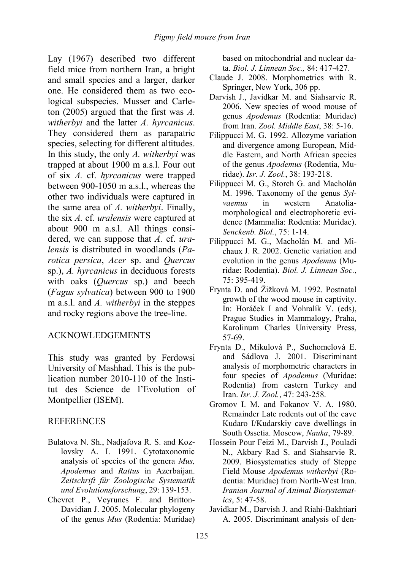Lay (1967) described two different field mice from northern Iran, a bright and small species and a larger, darker one. He considered them as two ecological subspecies. Musser and Carleton (2005) argued that the first was *A. witherbyi* and the latter *A. hyrcanicus*. They considered them as parapatric species, selecting for different altitudes. In this study, the only *A. witherbyi* was trapped at about 1900 m a.s.l. Four out of six *A.* cf. *hyrcanicus* were trapped between 900-1050 m a.s.l., whereas the other two individuals were captured in the same area of *A. witherbyi*. Finally, the six *A.* cf. *uralensis* were captured at about 900 m a.s.l. All things considered, we can suppose that *A.* cf. *uralensis* is distributed in woodlands (*Parotica persica*, *Acer* sp. and *Quercus* sp.), *A. hyrcanicus* in deciduous forests with oaks (*Quercus* sp.) and beech (*Fagus sylvatica*) between 900 to 1900 m a.s.l. and *A. witherbyi* in the steppes and rocky regions above the tree-line.

## ACKNOWLEDGEMENTS

This study was granted by Ferdowsi University of Mashhad. This is the publication number 2010-110 of the Institut des Science de l'Evolution of Montpellier (ISEM).

## REFERENCES

- Bulatova N. Sh., Nadjafova R. S. and Kozlovsky A. I. 1991. Cytotaxonomic analysis of species of the genera *Mus, Apodemus* and *Rattus* in Azerbaijan. *Zeitschrift für Zoologische Systematik und Evolutionsforschung*, 29: 139-153.
- Chevret P., Veyrunes F. and Britton-Davidian J. 2005. Molecular phylogeny of the genus *Mus* (Rodentia: Muridae)

based on mitochondrial and nuclear data. *Biol. J. Linnean Soc.,* 84: 417-427.

- Claude J. 2008. Morphometrics with R. Springer, New York, 306 pp.
- Darvish J., Javidkar M. and Siahsarvie R. 2006. New species of wood mouse of genus *Apodemus* (Rodentia: Muridae) from Iran. *Zool. Middle East*, 38: 5-16.
- Filippucci M. G. 1992. Allozyme variation and divergence among European, Middle Eastern, and North African species of the genus *Apodemus* (Rodentia, Muridae). *Isr. J. Zool.*, 38: 193-218.
- Filippucci M. G., Storch G. and Macholán M. 1996. Taxonomy of the genus *Sylvaemus* in western Anatoliamorphological and electrophoretic evidence (Mammalia: Rodentia: Muridae). *Senckenb. Biol.*, 75: 1-14.
- Filippucci M. G., Macholán M. and Michaux J. R. 2002. Genetic variation and evolution in the genus *Apodemus* (Muridae: Rodentia). *Biol. J. Linnean Soc.*, 75: 395-419.
- Frynta D. and Žižková M. 1992. Postnatal growth of the wood mouse in captivity. In: Horáček I and Vohralík V. (eds), Prague Studies in Mammalogy, Praha, Karolinum Charles University Press, 57-69.
- Frynta D., Mikulová P., Suchomelová E. and Sádlova J. 2001. Discriminant analysis of morphometric characters in four species of *Apodemus* (Muridae: Rodentia) from eastern Turkey and Iran. *Isr. J. Zool.*, 47: 243-258.
- Gromov I. M. and Fokanov V. A. 1980. Remainder Late rodents out of the cave Kudaro I/Kudarskiy cave dwellings in South Ossetia. Moscow, *Nauka*, 79-89.
- Hossein Pour Feizi M., Darvish J., Pouladi N., Akbary Rad S. and Siahsarvie R. 2009. Biosystematics study of Steppe Field Mouse *Apodemus witherbyi* (Rodentia: Muridae) from North-West Iran. *Iranian Journal of Animal Biosystematics*, 5: 47-58.
- Javidkar M., Darvish J. and Riahi-Bakhtiari A. 2005. Discriminant analysis of den-